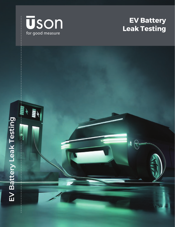

# **EV Battery Leak Testing**

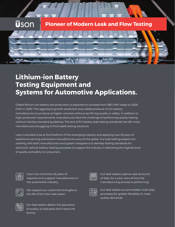#### **Uson Pioneer of Modern Leak and Flow Testing**



## **Lithium-ion Battery Testing Equipment and Systems for Automotive Applications.**

Global lithium-ion battery-cell production is expected to increase from 280 GWh today to 2,600 GWh in 2030. This aggressive growth prediction puts added pressure on EV battery manufacturers to produce at higher volumes without sacrificing quality or safety. In addition to high production requirements, manufacturers face the challenge of performing quality testing without industry standard guidelines. The lack of EV battery leak testing standards has left many manufacturers struggling to find viable testing solutions.

Uson is excited to be at the forefront of this emerging industry and applying over 55 years of experience serving automotive manufacturers around the globe. Our leak testing experts are working with both manufacturers and system integrators to develop testing standards for electronic vehicle battery testing processes to support the industry in delivering the highest level of quality and safety to consumers.



Uson has more than 55 years of experience to support manufacturers in the automotive industry.



We support our customers throughout the life of the Uson leak tester.



Our leak testers capture vast amounts of data, for a clear view of how the manufacturing process is performing.



Our leak testers accommodate multi-step processes for greater flexibility to meet quality demands.



Our leak testers deliver the assurance of quality, so bad parts don't leave the factory.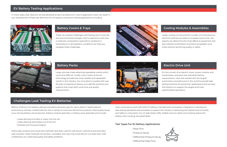#### **EV Battery Testing Applications:**

In many cases, leak rates are not standardized across manufacturer's. Uson's application team can assist in your development of leak rate definition for EV battery component testing applications including:



#### **Challenges Leak Testing EV Batteries:**

- Leaks allowing humidity or water into the cell
- Leaks allowing electrolytes out of the cell
- Modules and housing integrity

Billions of lithium-ion battery cells are manufactured every year for use in electric, hybrid-electric, autonomous vehicles, medical devices, and a variety of consumer electronics products. Most quality issues occur during battery-cell production, battery-module assembly, or battery-pack assembly and include:

Historically, pressure and visual test methods have been used for soft-pouch, cylindrical and prismatic cells, however, these methods can be slow, unreliable, and may miss small lithium-ion leaks that, if left undetected, can create big quality and safety problems.

Uson continues to work with both EV battery manufacturers and system integrators to develop air leak testing standards and processes to support the industry in delivering the highest level of quality and safety to consumers. Our air leak testers offer reliable and non-destructive testing options for battery cells, housing, and assemblies.

#### **Test Types For EV Battery Applications:**

#### **Battery Covers & Trays**

These can present challenges with flexing due to thermal and environmental changes. Uson's experience with how a material's composition responds to variations in temperature or atmospheric conditions can help you navigate these challenges.



### **Cooling Modules & Assemblies**

Larger cooling circuits and the number of connections on electrical vehicles can lead to increased cycle times. Our experts can determine the most effective equipment and test method combination to achieve acceptable cycle times without sacrificing quality or safety.



#### **Battery Packs**

Large volumes make obtaining repeatable results within cycle time difficult. Luckily, Uson's state-of-the-art technology provides the most reliable and repeatable results in the industry. Our innovations coupled with over 50 years of experience allows us to identify solutions and systems that meet both cycle time and quality requirements.



#### **Electric Drive Unit**

EV cars consist of an electric motor, power module, and transmission, and each has individual testing requirements. Uson has worked with the largest automotive manufacturers in the world to provide leak testing solutions for powertrain applications and we have the footprint to support the largest and most sophisticated operations.

- Mass Flow
- Pressure Decay
- Differential Pressure Decay
- Differential Mass Flow

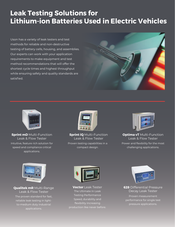# **Leak Testing Solutions for Lithium-ion Batteries Used in Electric Vehicles**

Uson has a variety of leak testers and test methods for reliable and non-destructive testing of battery cells, housing, and assemblies. Our experts can work with your application requirements to make equipment and test method recommendations that will offer the shortest cycle times and highest throughput while ensuring safety and quality standards are satisfied.





**Sprint mD** Multi-Function Leak & Flow Tester Intuitive, feature rich solution for speed and compliance critical applications.



**Sprint iQ** Multi-Function Leak & Flow Tester Proven testing capabilities in a compact design.



**Optima vT** Multi-Function Leak & Flow Tester Power and flexibility for the most challenging applications.



**Qualitek mR** Multi-Range Leak & Flow Tester

The proven standard for fast, reliable leak testing in lightto-medium duty industrial applications.



**Vector** Leak Tester The Ultimate In Leak Testing Performance Speed, durability and flexibility increasing production like never before.



**628** Differential Pressure Decay Leak Tester

Proven measurement performance for single test pressure applications.